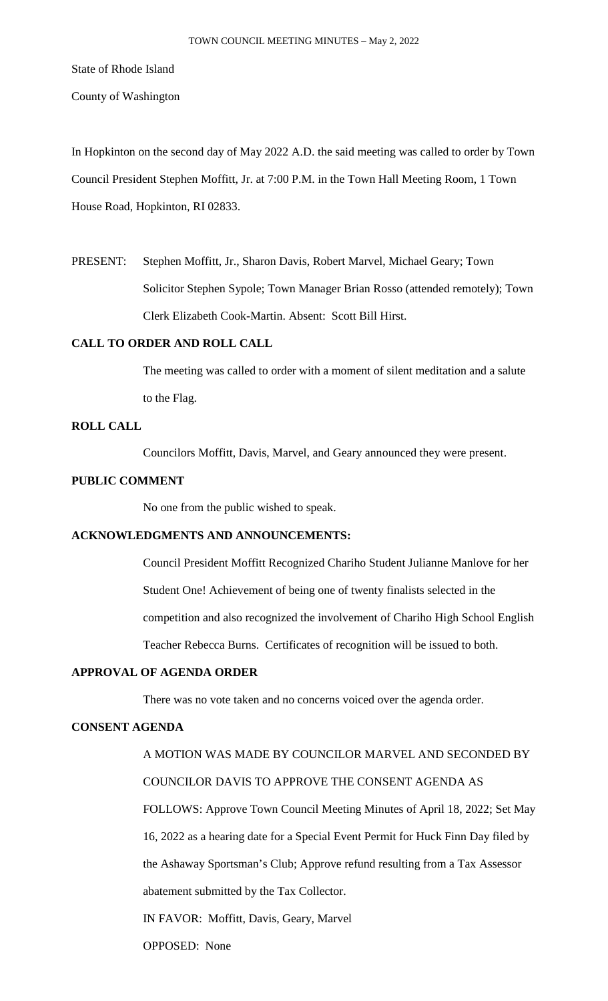### State of Rhode Island

County of Washington

In Hopkinton on the second day of May 2022 A.D. the said meeting was called to order by Town Council President Stephen Moffitt, Jr. at 7:00 P.M. in the Town Hall Meeting Room, 1 Town House Road, Hopkinton, RI 02833.

PRESENT: Stephen Moffitt, Jr., Sharon Davis, Robert Marvel, Michael Geary; Town Solicitor Stephen Sypole; Town Manager Brian Rosso (attended remotely); Town Clerk Elizabeth Cook-Martin. Absent: Scott Bill Hirst.

## **CALL TO ORDER AND ROLL CALL**

The meeting was called to order with a moment of silent meditation and a salute to the Flag.

## **ROLL CALL**

Councilors Moffitt, Davis, Marvel, and Geary announced they were present.

## **PUBLIC COMMENT**

No one from the public wished to speak.

# **ACKNOWLEDGMENTS AND ANNOUNCEMENTS:**

Council President Moffitt Recognized Chariho Student Julianne Manlove for her Student One! Achievement of being one of twenty finalists selected in the competition and also recognized the involvement of Chariho High School English Teacher Rebecca Burns. Certificates of recognition will be issued to both.

# **APPROVAL OF AGENDA ORDER**

There was no vote taken and no concerns voiced over the agenda order.

## **CONSENT AGENDA**

A MOTION WAS MADE BY COUNCILOR MARVEL AND SECONDED BY COUNCILOR DAVIS TO APPROVE THE CONSENT AGENDA AS FOLLOWS: Approve Town Council Meeting Minutes of April 18, 2022; Set May 16, 2022 as a hearing date for a Special Event Permit for Huck Finn Day filed by the Ashaway Sportsman's Club; Approve refund resulting from a Tax Assessor abatement submitted by the Tax Collector.

IN FAVOR: Moffitt, Davis, Geary, Marvel

OPPOSED: None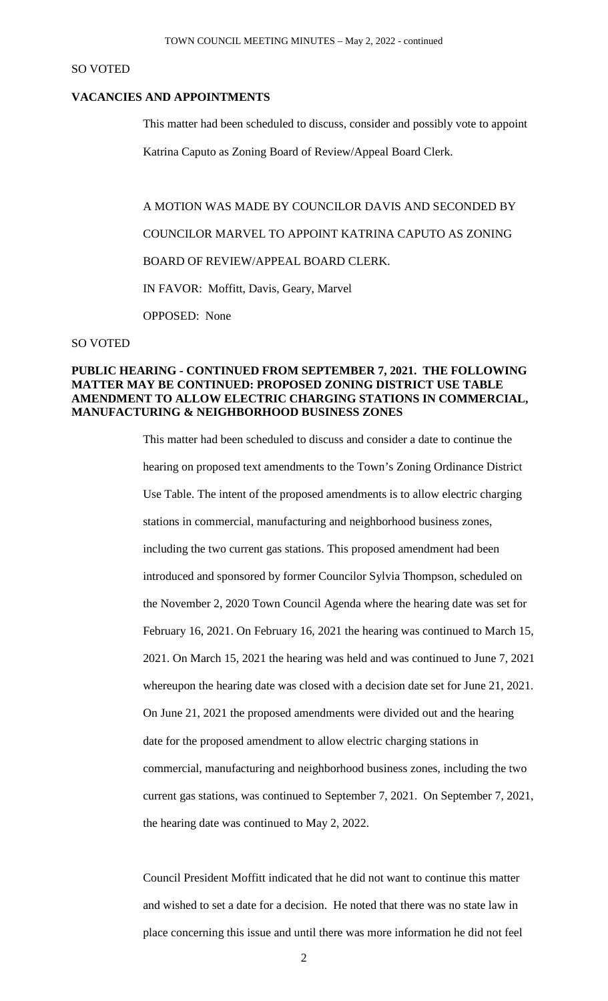### SO VOTED

## **VACANCIES AND APPOINTMENTS**

This matter had been scheduled to discuss, consider and possibly vote to appoint

Katrina Caputo as Zoning Board of Review/Appeal Board Clerk.

A MOTION WAS MADE BY COUNCILOR DAVIS AND SECONDED BY COUNCILOR MARVEL TO APPOINT KATRINA CAPUTO AS ZONING BOARD OF REVIEW/APPEAL BOARD CLERK. IN FAVOR: Moffitt, Davis, Geary, Marvel OPPOSED: None

#### SO VOTED

## **PUBLIC HEARING - CONTINUED FROM SEPTEMBER 7, 2021. THE FOLLOWING MATTER MAY BE CONTINUED: PROPOSED ZONING DISTRICT USE TABLE AMENDMENT TO ALLOW ELECTRIC CHARGING STATIONS IN COMMERCIAL, MANUFACTURING & NEIGHBORHOOD BUSINESS ZONES**

This matter had been scheduled to discuss and consider a date to continue the hearing on proposed text amendments to the Town's Zoning Ordinance District Use Table. The intent of the proposed amendments is to allow electric charging stations in commercial, manufacturing and neighborhood business zones, including the two current gas stations. This proposed amendment had been introduced and sponsored by former Councilor Sylvia Thompson, scheduled on the November 2, 2020 Town Council Agenda where the hearing date was set for February 16, 2021. On February 16, 2021 the hearing was continued to March 15, 2021. On March 15, 2021 the hearing was held and was continued to June 7, 2021 whereupon the hearing date was closed with a decision date set for June 21, 2021. On June 21, 2021 the proposed amendments were divided out and the hearing date for the proposed amendment to allow electric charging stations in commercial, manufacturing and neighborhood business zones, including the two current gas stations, was continued to September 7, 2021. On September 7, 2021, the hearing date was continued to May 2, 2022.

Council President Moffitt indicated that he did not want to continue this matter and wished to set a date for a decision. He noted that there was no state law in place concerning this issue and until there was more information he did not feel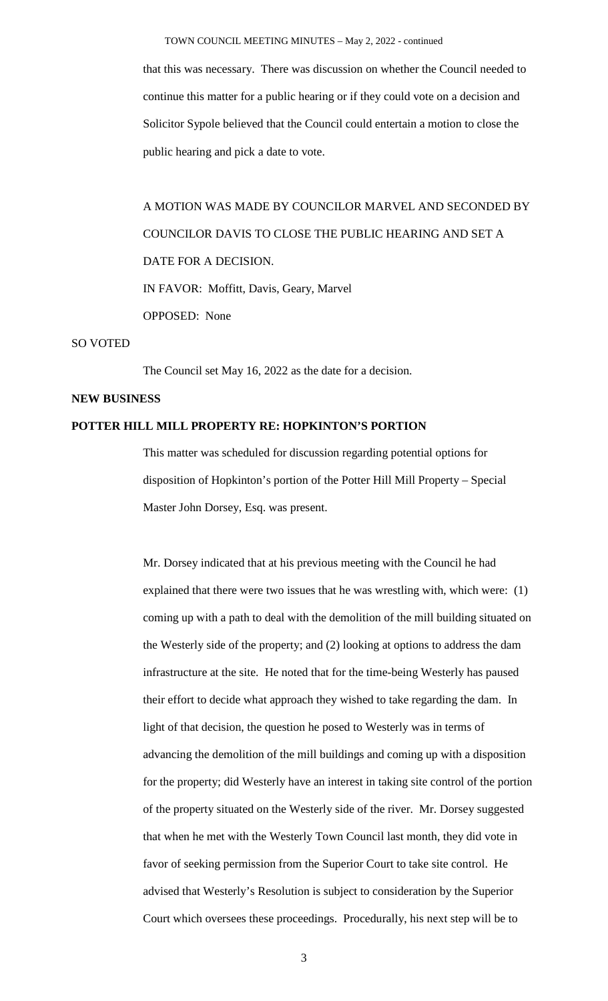that this was necessary. There was discussion on whether the Council needed to continue this matter for a public hearing or if they could vote on a decision and Solicitor Sypole believed that the Council could entertain a motion to close the public hearing and pick a date to vote.

A MOTION WAS MADE BY COUNCILOR MARVEL AND SECONDED BY COUNCILOR DAVIS TO CLOSE THE PUBLIC HEARING AND SET A DATE FOR A DECISION. IN FAVOR: Moffitt, Davis, Geary, Marvel OPPOSED: None

## SO VOTED

The Council set May 16, 2022 as the date for a decision.

## **NEW BUSINESS**

## **POTTER HILL MILL PROPERTY RE: HOPKINTON'S PORTION**

This matter was scheduled for discussion regarding potential options for disposition of Hopkinton's portion of the Potter Hill Mill Property – Special Master John Dorsey, Esq. was present.

Mr. Dorsey indicated that at his previous meeting with the Council he had explained that there were two issues that he was wrestling with, which were: (1) coming up with a path to deal with the demolition of the mill building situated on the Westerly side of the property; and (2) looking at options to address the dam infrastructure at the site. He noted that for the time-being Westerly has paused their effort to decide what approach they wished to take regarding the dam. In light of that decision, the question he posed to Westerly was in terms of advancing the demolition of the mill buildings and coming up with a disposition for the property; did Westerly have an interest in taking site control of the portion of the property situated on the Westerly side of the river. Mr. Dorsey suggested that when he met with the Westerly Town Council last month, they did vote in favor of seeking permission from the Superior Court to take site control. He advised that Westerly's Resolution is subject to consideration by the Superior Court which oversees these proceedings. Procedurally, his next step will be to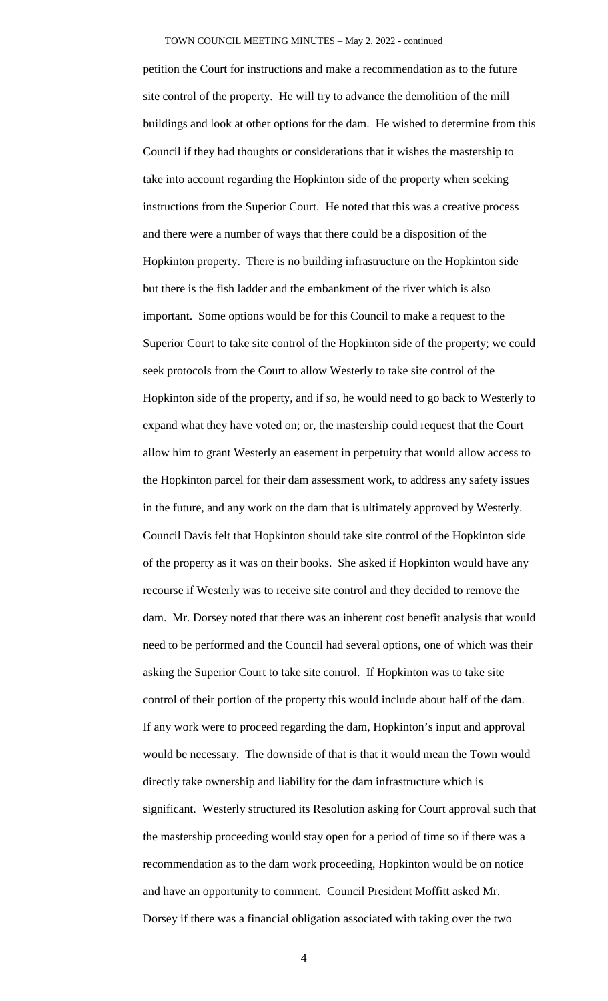petition the Court for instructions and make a recommendation as to the future site control of the property. He will try to advance the demolition of the mill buildings and look at other options for the dam. He wished to determine from this Council if they had thoughts or considerations that it wishes the mastership to take into account regarding the Hopkinton side of the property when seeking instructions from the Superior Court. He noted that this was a creative process and there were a number of ways that there could be a disposition of the Hopkinton property. There is no building infrastructure on the Hopkinton side but there is the fish ladder and the embankment of the river which is also important. Some options would be for this Council to make a request to the Superior Court to take site control of the Hopkinton side of the property; we could seek protocols from the Court to allow Westerly to take site control of the Hopkinton side of the property, and if so, he would need to go back to Westerly to expand what they have voted on; or, the mastership could request that the Court allow him to grant Westerly an easement in perpetuity that would allow access to the Hopkinton parcel for their dam assessment work, to address any safety issues in the future, and any work on the dam that is ultimately approved by Westerly. Council Davis felt that Hopkinton should take site control of the Hopkinton side of the property as it was on their books. She asked if Hopkinton would have any recourse if Westerly was to receive site control and they decided to remove the dam. Mr. Dorsey noted that there was an inherent cost benefit analysis that would need to be performed and the Council had several options, one of which was their asking the Superior Court to take site control. If Hopkinton was to take site control of their portion of the property this would include about half of the dam. If any work were to proceed regarding the dam, Hopkinton's input and approval would be necessary. The downside of that is that it would mean the Town would directly take ownership and liability for the dam infrastructure which is significant. Westerly structured its Resolution asking for Court approval such that the mastership proceeding would stay open for a period of time so if there was a recommendation as to the dam work proceeding, Hopkinton would be on notice and have an opportunity to comment. Council President Moffitt asked Mr. Dorsey if there was a financial obligation associated with taking over the two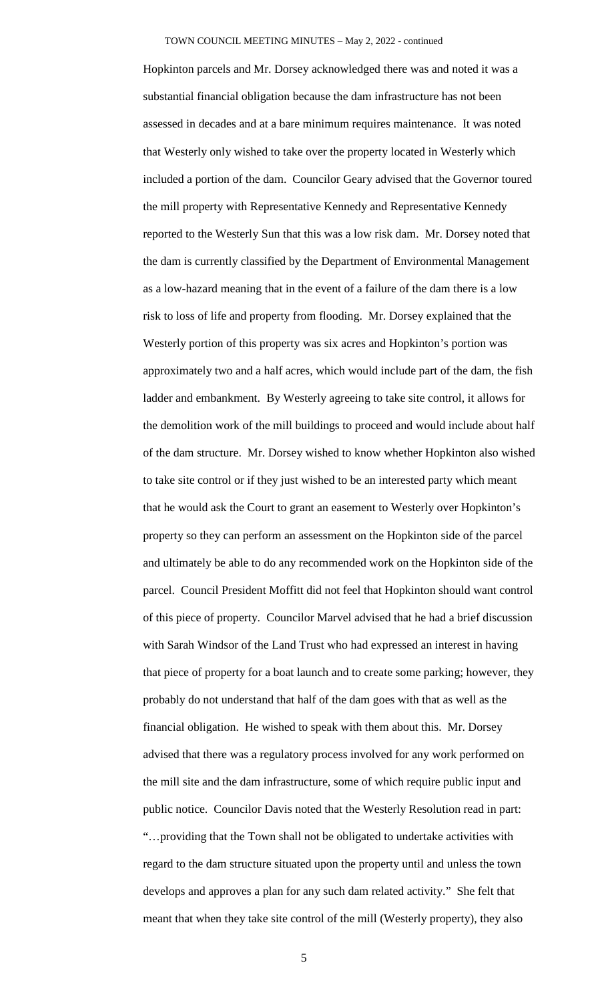Hopkinton parcels and Mr. Dorsey acknowledged there was and noted it was a substantial financial obligation because the dam infrastructure has not been assessed in decades and at a bare minimum requires maintenance. It was noted that Westerly only wished to take over the property located in Westerly which included a portion of the dam. Councilor Geary advised that the Governor toured the mill property with Representative Kennedy and Representative Kennedy reported to the Westerly Sun that this was a low risk dam. Mr. Dorsey noted that the dam is currently classified by the Department of Environmental Management as a low-hazard meaning that in the event of a failure of the dam there is a low risk to loss of life and property from flooding. Mr. Dorsey explained that the Westerly portion of this property was six acres and Hopkinton's portion was approximately two and a half acres, which would include part of the dam, the fish ladder and embankment. By Westerly agreeing to take site control, it allows for the demolition work of the mill buildings to proceed and would include about half of the dam structure. Mr. Dorsey wished to know whether Hopkinton also wished to take site control or if they just wished to be an interested party which meant that he would ask the Court to grant an easement to Westerly over Hopkinton's property so they can perform an assessment on the Hopkinton side of the parcel and ultimately be able to do any recommended work on the Hopkinton side of the parcel. Council President Moffitt did not feel that Hopkinton should want control of this piece of property. Councilor Marvel advised that he had a brief discussion with Sarah Windsor of the Land Trust who had expressed an interest in having that piece of property for a boat launch and to create some parking; however, they probably do not understand that half of the dam goes with that as well as the financial obligation. He wished to speak with them about this. Mr. Dorsey advised that there was a regulatory process involved for any work performed on the mill site and the dam infrastructure, some of which require public input and public notice. Councilor Davis noted that the Westerly Resolution read in part: "…providing that the Town shall not be obligated to undertake activities with regard to the dam structure situated upon the property until and unless the town develops and approves a plan for any such dam related activity." She felt that meant that when they take site control of the mill (Westerly property), they also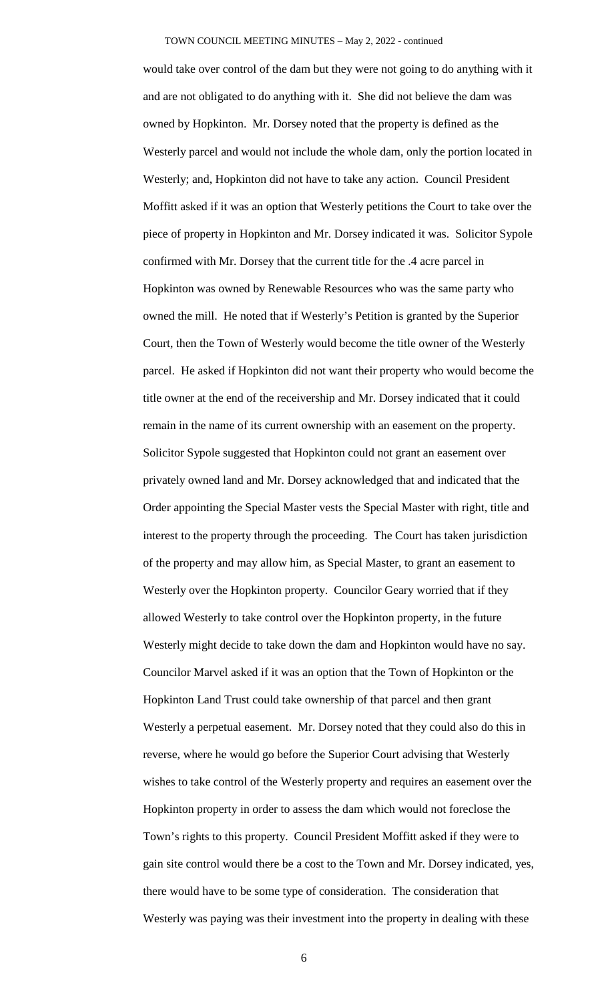would take over control of the dam but they were not going to do anything with it and are not obligated to do anything with it. She did not believe the dam was owned by Hopkinton. Mr. Dorsey noted that the property is defined as the Westerly parcel and would not include the whole dam, only the portion located in Westerly; and, Hopkinton did not have to take any action. Council President Moffitt asked if it was an option that Westerly petitions the Court to take over the piece of property in Hopkinton and Mr. Dorsey indicated it was. Solicitor Sypole confirmed with Mr. Dorsey that the current title for the .4 acre parcel in Hopkinton was owned by Renewable Resources who was the same party who owned the mill. He noted that if Westerly's Petition is granted by the Superior Court, then the Town of Westerly would become the title owner of the Westerly parcel. He asked if Hopkinton did not want their property who would become the title owner at the end of the receivership and Mr. Dorsey indicated that it could remain in the name of its current ownership with an easement on the property. Solicitor Sypole suggested that Hopkinton could not grant an easement over privately owned land and Mr. Dorsey acknowledged that and indicated that the Order appointing the Special Master vests the Special Master with right, title and interest to the property through the proceeding. The Court has taken jurisdiction of the property and may allow him, as Special Master, to grant an easement to Westerly over the Hopkinton property. Councilor Geary worried that if they allowed Westerly to take control over the Hopkinton property, in the future Westerly might decide to take down the dam and Hopkinton would have no say. Councilor Marvel asked if it was an option that the Town of Hopkinton or the Hopkinton Land Trust could take ownership of that parcel and then grant Westerly a perpetual easement. Mr. Dorsey noted that they could also do this in reverse, where he would go before the Superior Court advising that Westerly wishes to take control of the Westerly property and requires an easement over the Hopkinton property in order to assess the dam which would not foreclose the Town's rights to this property. Council President Moffitt asked if they were to gain site control would there be a cost to the Town and Mr. Dorsey indicated, yes, there would have to be some type of consideration. The consideration that Westerly was paying was their investment into the property in dealing with these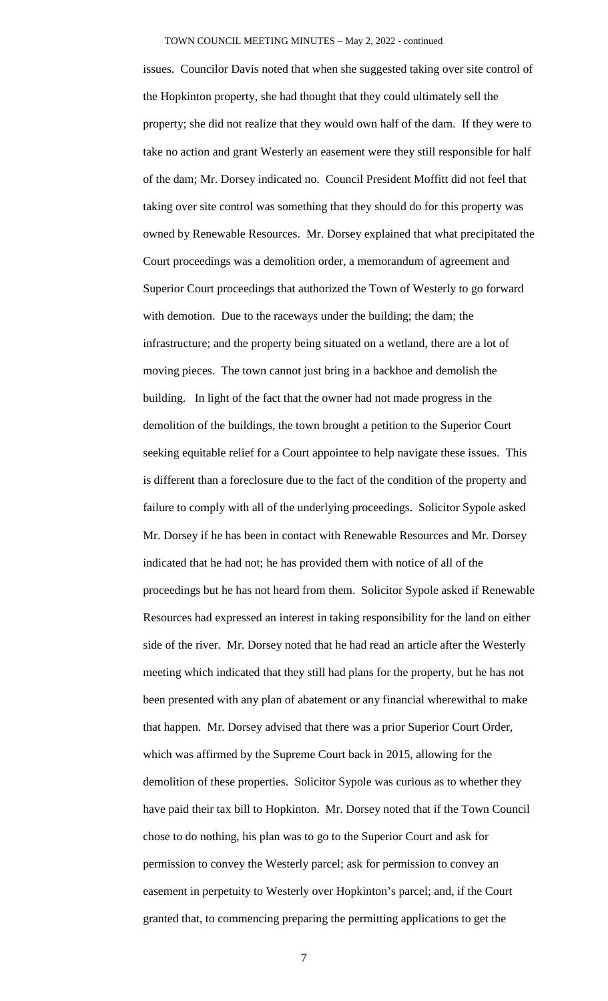issues. Councilor Davis noted that when she suggested taking over site control of the Hopkinton property, she had thought that they could ultimately sell the property; she did not realize that they would own half of the dam. If they were to take no action and grant Westerly an easement were they still responsible for half of the dam; Mr. Dorsey indicated no. Council President Moffitt did not feel that taking over site control was something that they should do for this property was owned by Renewable Resources. Mr. Dorsey explained that what precipitated the Court proceedings was a demolition order, a memorandum of agreement and Superior Court proceedings that authorized the Town of Westerly to go forward with demotion. Due to the raceways under the building; the dam; the infrastructure; and the property being situated on a wetland, there are a lot of moving pieces. The town cannot just bring in a backhoe and demolish the building. In light of the fact that the owner had not made progress in the demolition of the buildings, the town brought a petition to the Superior Court seeking equitable relief for a Court appointee to help navigate these issues. This is different than a foreclosure due to the fact of the condition of the property and failure to comply with all of the underlying proceedings. Solicitor Sypole asked Mr. Dorsey if he has been in contact with Renewable Resources and Mr. Dorsey indicated that he had not; he has provided them with notice of all of the proceedings but he has not heard from them. Solicitor Sypole asked if Renewable Resources had expressed an interest in taking responsibility for the land on either side of the river. Mr. Dorsey noted that he had read an article after the Westerly meeting which indicated that they still had plans for the property, but he has not been presented with any plan of abatement or any financial wherewithal to make that happen. Mr. Dorsey advised that there was a prior Superior Court Order, which was affirmed by the Supreme Court back in 2015, allowing for the demolition of these properties. Solicitor Sypole was curious as to whether they have paid their tax bill to Hopkinton. Mr. Dorsey noted that if the Town Council chose to do nothing, his plan was to go to the Superior Court and ask for permission to convey the Westerly parcel; ask for permission to convey an easement in perpetuity to Westerly over Hopkinton's parcel; and, if the Court granted that, to commencing preparing the permitting applications to get the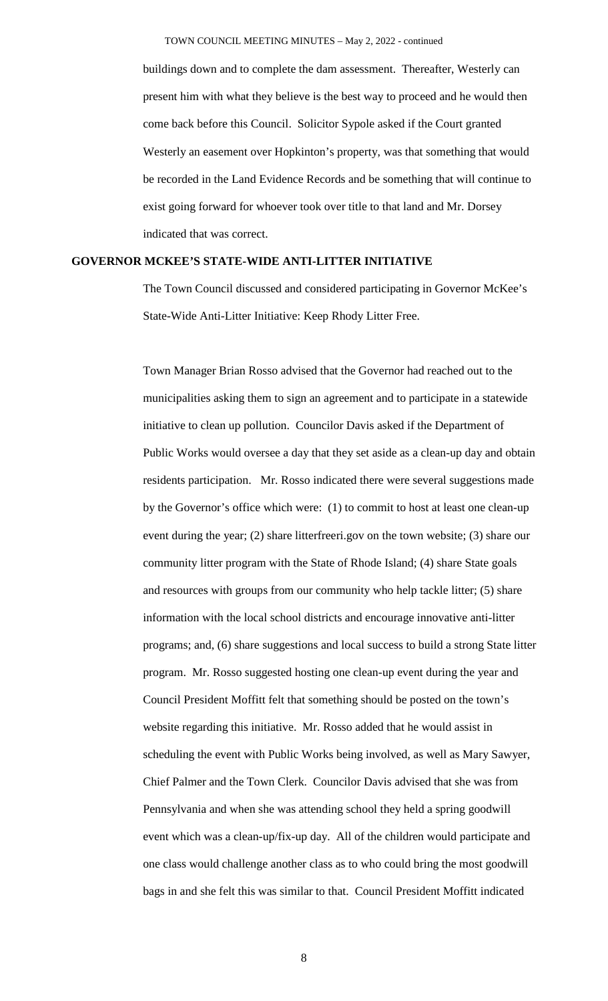buildings down and to complete the dam assessment. Thereafter, Westerly can present him with what they believe is the best way to proceed and he would then come back before this Council. Solicitor Sypole asked if the Court granted Westerly an easement over Hopkinton's property, was that something that would be recorded in the Land Evidence Records and be something that will continue to exist going forward for whoever took over title to that land and Mr. Dorsey indicated that was correct.

## **GOVERNOR MCKEE'S STATE-WIDE ANTI-LITTER INITIATIVE**

The Town Council discussed and considered participating in Governor McKee's State-Wide Anti-Litter Initiative: Keep Rhody Litter Free.

Town Manager Brian Rosso advised that the Governor had reached out to the municipalities asking them to sign an agreement and to participate in a statewide initiative to clean up pollution. Councilor Davis asked if the Department of Public Works would oversee a day that they set aside as a clean-up day and obtain residents participation. Mr. Rosso indicated there were several suggestions made by the Governor's office which were: (1) to commit to host at least one clean-up event during the year; (2) share litterfreeri.gov on the town website; (3) share our community litter program with the State of Rhode Island; (4) share State goals and resources with groups from our community who help tackle litter; (5) share information with the local school districts and encourage innovative anti-litter programs; and, (6) share suggestions and local success to build a strong State litter program. Mr. Rosso suggested hosting one clean-up event during the year and Council President Moffitt felt that something should be posted on the town's website regarding this initiative. Mr. Rosso added that he would assist in scheduling the event with Public Works being involved, as well as Mary Sawyer, Chief Palmer and the Town Clerk. Councilor Davis advised that she was from Pennsylvania and when she was attending school they held a spring goodwill event which was a clean-up/fix-up day. All of the children would participate and one class would challenge another class as to who could bring the most goodwill bags in and she felt this was similar to that. Council President Moffitt indicated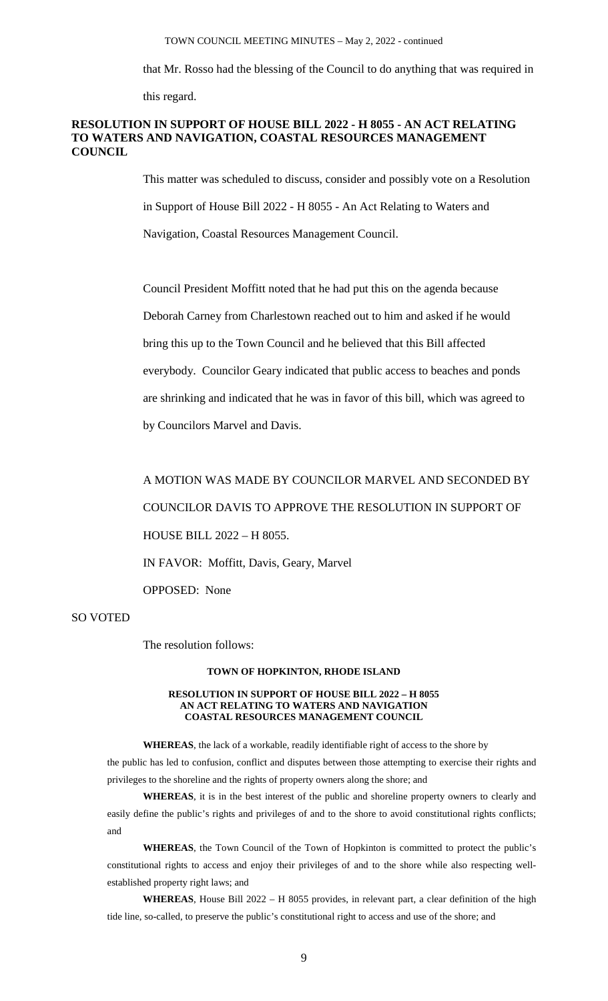that Mr. Rosso had the blessing of the Council to do anything that was required in

this regard.

## **RESOLUTION IN SUPPORT OF HOUSE BILL 2022 - H 8055 - AN ACT RELATING TO WATERS AND NAVIGATION, COASTAL RESOURCES MANAGEMENT COUNCIL**

This matter was scheduled to discuss, consider and possibly vote on a Resolution in Support of House Bill 2022 - H 8055 - An Act Relating to Waters and Navigation, Coastal Resources Management Council.

Council President Moffitt noted that he had put this on the agenda because Deborah Carney from Charlestown reached out to him and asked if he would bring this up to the Town Council and he believed that this Bill affected everybody. Councilor Geary indicated that public access to beaches and ponds are shrinking and indicated that he was in favor of this bill, which was agreed to by Councilors Marvel and Davis.

A MOTION WAS MADE BY COUNCILOR MARVEL AND SECONDED BY COUNCILOR DAVIS TO APPROVE THE RESOLUTION IN SUPPORT OF HOUSE BILL 2022 – H 8055. IN FAVOR: Moffitt, Davis, Geary, Marvel

OPPOSED: None

## SO VOTED

The resolution follows:

### **TOWN OF HOPKINTON, RHODE ISLAND**

#### **RESOLUTION IN SUPPORT OF HOUSE BILL 2022 – H 8055 AN ACT RELATING TO WATERS AND NAVIGATION COASTAL RESOURCES MANAGEMENT COUNCIL**

**WHEREAS**, the lack of a workable, readily identifiable right of access to the shore by the public has led to confusion, conflict and disputes between those attempting to exercise their rights and privileges to the shoreline and the rights of property owners along the shore; and

**WHEREAS**, it is in the best interest of the public and shoreline property owners to clearly and easily define the public's rights and privileges of and to the shore to avoid constitutional rights conflicts; and

**WHEREAS**, the Town Council of the Town of Hopkinton is committed to protect the public's constitutional rights to access and enjoy their privileges of and to the shore while also respecting wellestablished property right laws; and

**WHEREAS**, House Bill 2022 – H 8055 provides, in relevant part, a clear definition of the high tide line, so-called, to preserve the public's constitutional right to access and use of the shore; and